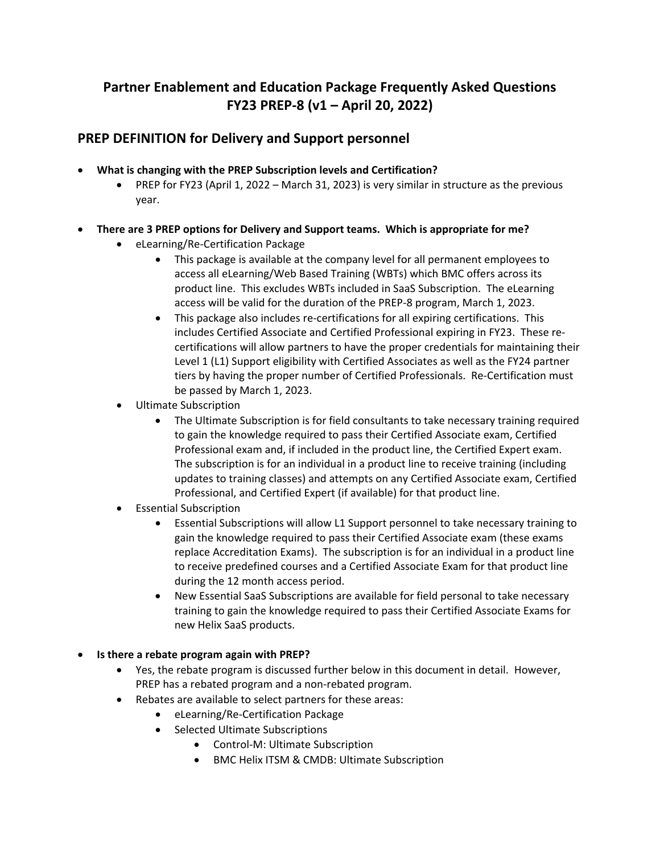# **Partner Enablement and Education Package Frequently Asked Questions FY23 PREP‐8 (v1 – April 20, 2022)**

# **PREP DEFINITION for Delivery and Support personnel**

- **What is changing with the PREP Subscription levels and Certification?**
	- PREP for FY23 (April 1, 2022 March 31, 2023) is very similar in structure as the previous year.
- **There are 3 PREP options for Delivery and Support teams. Which is appropriate for me?**
	- eLearning/Re‐Certification Package
		- This package is available at the company level for all permanent employees to access all eLearning/Web Based Training (WBTs) which BMC offers across its product line. This excludes WBTs included in SaaS Subscription. The eLearning access will be valid for the duration of the PREP‐8 program, March 1, 2023.
		- This package also includes re-certifications for all expiring certifications. This includes Certified Associate and Certified Professional expiring in FY23. These re‐ certifications will allow partners to have the proper credentials for maintaining their Level 1 (L1) Support eligibility with Certified Associates as well as the FY24 partner tiers by having the proper number of Certified Professionals. Re‐Certification must be passed by March 1, 2023.
	- Ultimate Subscription
		- The Ultimate Subscription is for field consultants to take necessary training required to gain the knowledge required to pass their Certified Associate exam, Certified Professional exam and, if included in the product line, the Certified Expert exam. The subscription is for an individual in a product line to receive training (including updates to training classes) and attempts on any Certified Associate exam, Certified Professional, and Certified Expert (if available) for that product line.
	- Essential Subscription
		- Essential Subscriptions will allow L1 Support personnel to take necessary training to gain the knowledge required to pass their Certified Associate exam (these exams replace Accreditation Exams). The subscription is for an individual in a product line to receive predefined courses and a Certified Associate Exam for that product line during the 12 month access period.
		- New Essential SaaS Subscriptions are available for field personal to take necessary training to gain the knowledge required to pass their Certified Associate Exams for new Helix SaaS products.
- **Is there a rebate program again with PREP?**
	- Yes, the rebate program is discussed further below in this document in detail. However, PREP has a rebated program and a non‐rebated program.
	- Rebates are available to select partners for these areas:
		- eLearning/Re‐Certification Package
		- Selected Ultimate Subscriptions
			- Control-M: Ultimate Subscription
			- BMC Helix ITSM & CMDB: Ultimate Subscription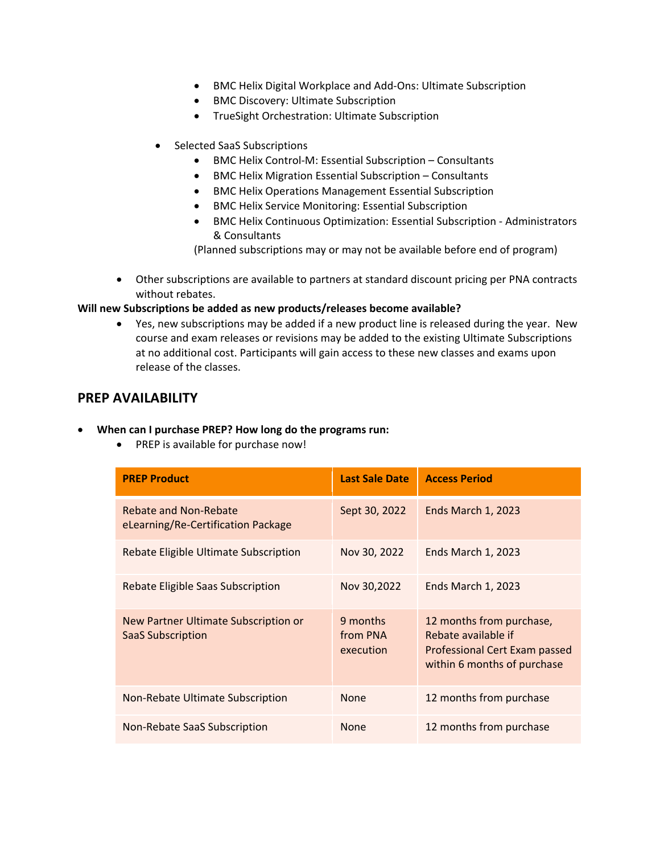- BMC Helix Digital Workplace and Add-Ons: Ultimate Subscription
- BMC Discovery: Ultimate Subscription
- **•** TrueSight Orchestration: Ultimate Subscription
- Selected SaaS Subscriptions
	- BMC Helix Control‐M: Essential Subscription Consultants
	- BMC Helix Migration Essential Subscription Consultants
	- BMC Helix Operations Management Essential Subscription
	- BMC Helix Service Monitoring: Essential Subscription
	- BMC Helix Continuous Optimization: Essential Subscription Administrators & Consultants

(Planned subscriptions may or may not be available before end of program)

 Other subscriptions are available to partners at standard discount pricing per PNA contracts without rebates.

#### **Will new Subscriptions be added as new products/releases become available?**

 Yes, new subscriptions may be added if a new product line is released during the year. New course and exam releases or revisions may be added to the existing Ultimate Subscriptions at no additional cost. Participants will gain access to these new classes and exams upon release of the classes.

# **PREP AVAILABILITY**

#### **When can I purchase PREP? How long do the programs run:**

• PREP is available for purchase now!

| <b>PREP Product</b>                                              | <b>Last Sale Date</b>             | <b>Access Period</b>                                                                                                   |
|------------------------------------------------------------------|-----------------------------------|------------------------------------------------------------------------------------------------------------------------|
| Rebate and Non-Rebate<br>eLearning/Re-Certification Package      | Sept 30, 2022                     | <b>Ends March 1, 2023</b>                                                                                              |
| Rebate Eligible Ultimate Subscription                            | Nov 30, 2022                      | <b>Ends March 1, 2023</b>                                                                                              |
| Rebate Eligible Saas Subscription                                | Nov 30,2022                       | <b>Ends March 1, 2023</b>                                                                                              |
| New Partner Ultimate Subscription or<br><b>SaaS Subscription</b> | 9 months<br>from PNA<br>execution | 12 months from purchase,<br>Rebate available if<br><b>Professional Cert Exam passed</b><br>within 6 months of purchase |
| Non-Rebate Ultimate Subscription                                 | <b>None</b>                       | 12 months from purchase                                                                                                |
| Non-Rebate SaaS Subscription                                     | <b>None</b>                       | 12 months from purchase                                                                                                |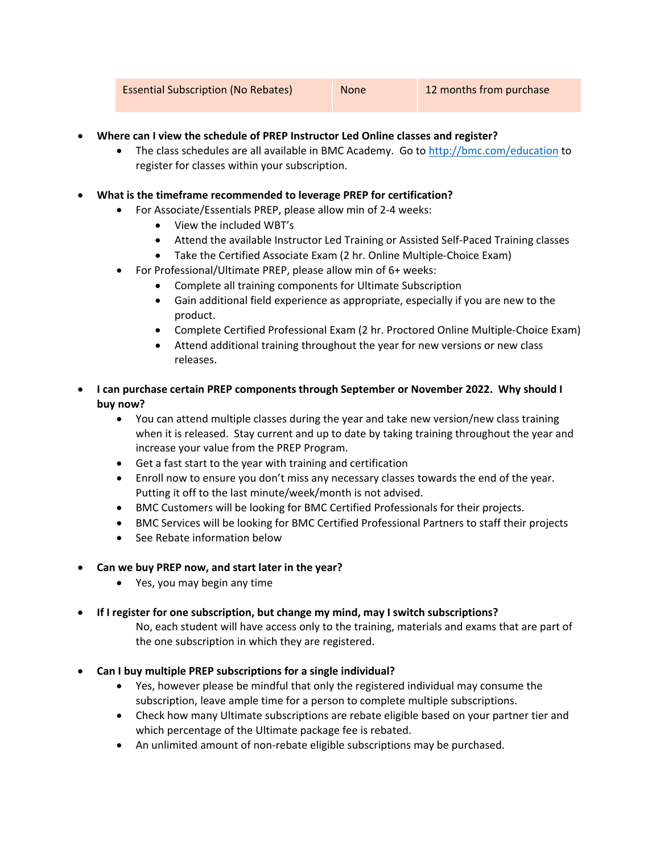- **Where can I view the schedule of PREP Instructor Led Online classes and register?**
	- The class schedules are all available in BMC Academy. Go to http://bmc.com/education to register for classes within your subscription.
- **What is the timeframe recommended to leverage PREP for certification?**
	- For Associate/Essentials PREP, please allow min of 2‐4 weeks:
		- View the included WBT's
		- Attend the available Instructor Led Training or Assisted Self-Paced Training classes
		- Take the Certified Associate Exam (2 hr. Online Multiple‐Choice Exam)
	- For Professional/Ultimate PREP, please allow min of 6+ weeks:
		- Complete all training components for Ultimate Subscription
		- Gain additional field experience as appropriate, especially if you are new to the product.
		- Complete Certified Professional Exam (2 hr. Proctored Online Multiple-Choice Exam)
		- Attend additional training throughout the year for new versions or new class releases.
- **I can purchase certain PREP components through September or November 2022. Why should I buy now?**
	- You can attend multiple classes during the year and take new version/new class training when it is released. Stay current and up to date by taking training throughout the year and increase your value from the PREP Program.
	- Get a fast start to the year with training and certification
	- Enroll now to ensure you don't miss any necessary classes towards the end of the year. Putting it off to the last minute/week/month is not advised.
	- BMC Customers will be looking for BMC Certified Professionals for their projects.
	- BMC Services will be looking for BMC Certified Professional Partners to staff their projects
	- See Rebate information below
- **Can we buy PREP now, and start later in the year?**
	- Yes, you may begin any time
- **If I register for one subscription, but change my mind, may I switch subscriptions?**

No, each student will have access only to the training, materials and exams that are part of the one subscription in which they are registered.

- **Can I buy multiple PREP subscriptions for a single individual?**
	- Yes, however please be mindful that only the registered individual may consume the subscription, leave ample time for a person to complete multiple subscriptions.
	- Check how many Ultimate subscriptions are rebate eligible based on your partner tier and which percentage of the Ultimate package fee is rebated.
	- An unlimited amount of non-rebate eligible subscriptions may be purchased.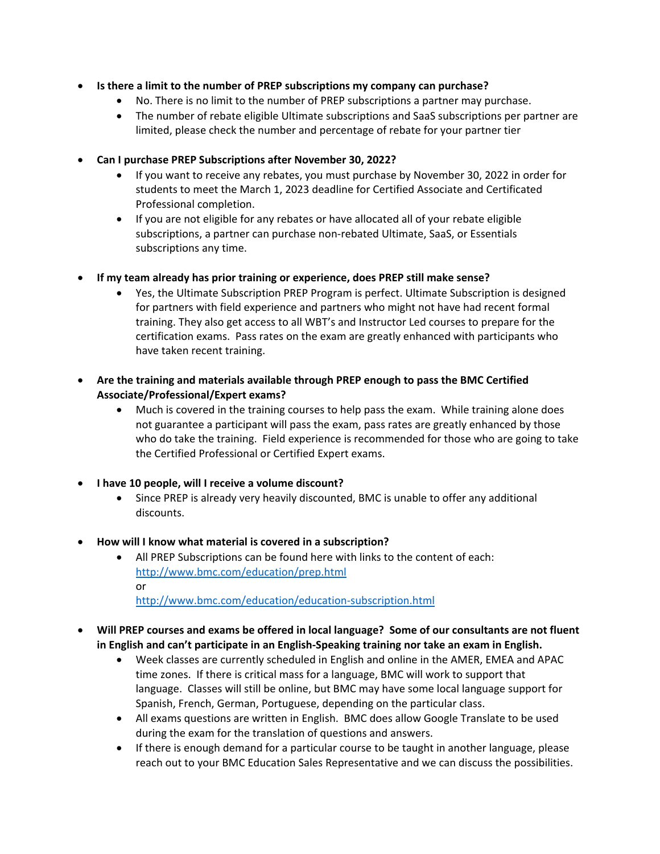- **Is there a limit to the number of PREP subscriptions my company can purchase?**
	- No. There is no limit to the number of PREP subscriptions a partner may purchase.
	- The number of rebate eligible Ultimate subscriptions and SaaS subscriptions per partner are limited, please check the number and percentage of rebate for your partner tier
- **Can I purchase PREP Subscriptions after November 30, 2022?**
	- If you want to receive any rebates, you must purchase by November 30, 2022 in order for students to meet the March 1, 2023 deadline for Certified Associate and Certificated Professional completion.
	- If you are not eligible for any rebates or have allocated all of your rebate eligible subscriptions, a partner can purchase non‐rebated Ultimate, SaaS, or Essentials subscriptions any time.
- **If my team already has prior training or experience, does PREP still make sense?**
	- Yes, the Ultimate Subscription PREP Program is perfect. Ultimate Subscription is designed for partners with field experience and partners who might not have had recent formal training. They also get access to all WBT's and Instructor Led courses to prepare for the certification exams. Pass rates on the exam are greatly enhanced with participants who have taken recent training.
- **Are the training and materials available through PREP enough to pass the BMC Certified Associate/Professional/Expert exams?**
	- Much is covered in the training courses to help pass the exam. While training alone does not guarantee a participant will pass the exam, pass rates are greatly enhanced by those who do take the training. Field experience is recommended for those who are going to take the Certified Professional or Certified Expert exams.
- **I have 10 people, will I receive a volume discount?**
	- Since PREP is already very heavily discounted, BMC is unable to offer any additional discounts.
- **How will I know what material is covered in a subscription?**
	- All PREP Subscriptions can be found here with links to the content of each: http://www.bmc.com/education/prep.html or http://www.bmc.com/education/education‐subscription.html
	-
- **Will PREP courses and exams be offered in local language? Some of our consultants are not fluent in English and can't participate in an English‐Speaking training nor take an exam in English.**
	- Week classes are currently scheduled in English and online in the AMER, EMEA and APAC time zones. If there is critical mass for a language, BMC will work to support that language. Classes will still be online, but BMC may have some local language support for Spanish, French, German, Portuguese, depending on the particular class.
	- All exams questions are written in English. BMC does allow Google Translate to be used during the exam for the translation of questions and answers.
	- If there is enough demand for a particular course to be taught in another language, please reach out to your BMC Education Sales Representative and we can discuss the possibilities.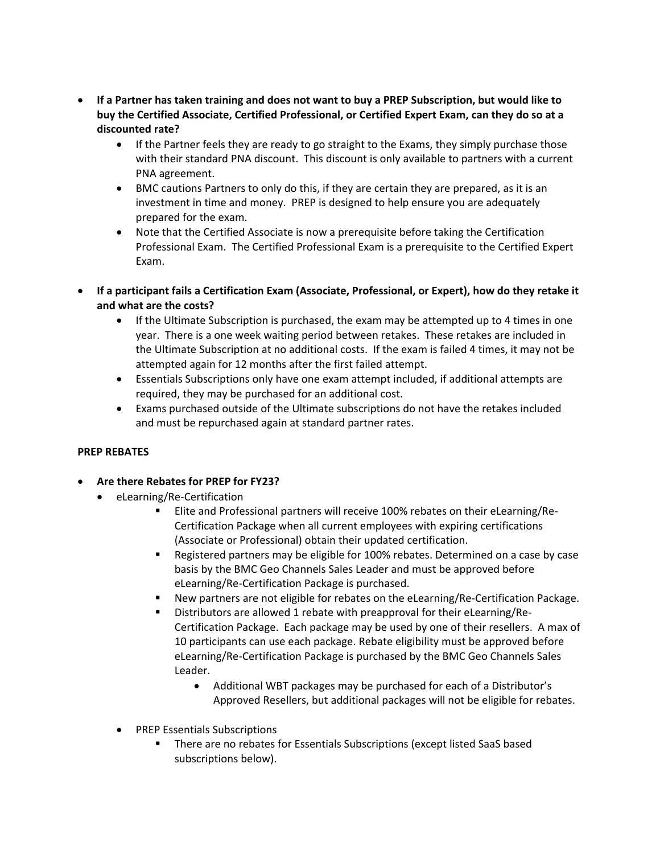- If a Partner has taken training and does not want to buy a PREP Subscription, but would like to **buy the Certified Associate, Certified Professional, or Certified Expert Exam, can they do so at a discounted rate?**
	- If the Partner feels they are ready to go straight to the Exams, they simply purchase those with their standard PNA discount. This discount is only available to partners with a current PNA agreement.
	- BMC cautions Partners to only do this, if they are certain they are prepared, as it is an investment in time and money. PREP is designed to help ensure you are adequately prepared for the exam.
	- Note that the Certified Associate is now a prerequisite before taking the Certification Professional Exam. The Certified Professional Exam is a prerequisite to the Certified Expert Exam.
- **If a participant fails a Certification Exam (Associate, Professional, or Expert), how do they retake it and what are the costs?** 
	- If the Ultimate Subscription is purchased, the exam may be attempted up to 4 times in one year. There is a one week waiting period between retakes. These retakes are included in the Ultimate Subscription at no additional costs. If the exam is failed 4 times, it may not be attempted again for 12 months after the first failed attempt.
	- Essentials Subscriptions only have one exam attempt included, if additional attempts are required, they may be purchased for an additional cost.
	- Exams purchased outside of the Ultimate subscriptions do not have the retakes included and must be repurchased again at standard partner rates.

# **PREP REBATES**

- **Are there Rebates for PREP for FY23?**
	- eLearning/Re-Certification
		- Elite and Professional partners will receive 100% rebates on their eLearning/Re‐ Certification Package when all current employees with expiring certifications (Associate or Professional) obtain their updated certification.
		- Registered partners may be eligible for 100% rebates. Determined on a case by case basis by the BMC Geo Channels Sales Leader and must be approved before eLearning/Re‐Certification Package is purchased.
		- New partners are not eligible for rebates on the eLearning/Re-Certification Package.
		- Distributors are allowed 1 rebate with preapproval for their eLearning/Re-Certification Package. Each package may be used by one of their resellers. A max of 10 participants can use each package. Rebate eligibility must be approved before eLearning/Re‐Certification Package is purchased by the BMC Geo Channels Sales Leader.
			- Additional WBT packages may be purchased for each of a Distributor's Approved Resellers, but additional packages will not be eligible for rebates.
		- PREP Essentials Subscriptions
			- There are no rebates for Essentials Subscriptions (except listed SaaS based subscriptions below).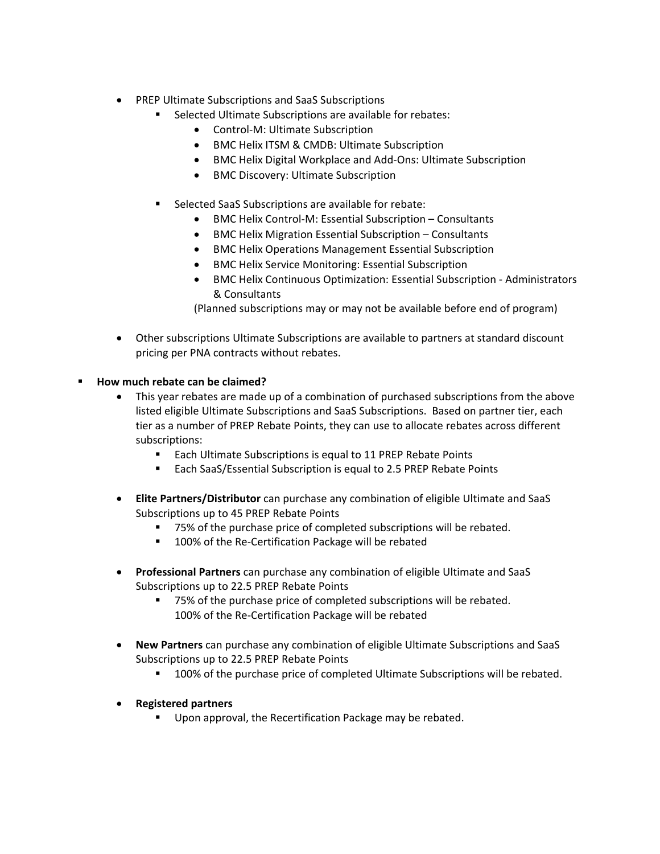- PREP Ultimate Subscriptions and SaaS Subscriptions
	- **Selected Ultimate Subscriptions are available for rebates:** 
		- Control-M: Ultimate Subscription
		- BMC Helix ITSM & CMDB: Ultimate Subscription
		- BMC Helix Digital Workplace and Add-Ons: Ultimate Subscription
		- BMC Discovery: Ultimate Subscription
	- Selected SaaS Subscriptions are available for rebate:
		- BMC Helix Control‐M: Essential Subscription Consultants
		- BMC Helix Migration Essential Subscription Consultants
		- BMC Helix Operations Management Essential Subscription
		- BMC Helix Service Monitoring: Essential Subscription
		- BMC Helix Continuous Optimization: Essential Subscription Administrators & Consultants

(Planned subscriptions may or may not be available before end of program)

 Other subscriptions Ultimate Subscriptions are available to partners at standard discount pricing per PNA contracts without rebates.

#### **How much rebate can be claimed?**

- This year rebates are made up of a combination of purchased subscriptions from the above listed eligible Ultimate Subscriptions and SaaS Subscriptions. Based on partner tier, each tier as a number of PREP Rebate Points, they can use to allocate rebates across different subscriptions:
	- **Each Ultimate Subscriptions is equal to 11 PREP Rebate Points**
	- Each SaaS/Essential Subscription is equal to 2.5 PREP Rebate Points
- **Elite Partners/Distributor** can purchase any combination of eligible Ultimate and SaaS Subscriptions up to 45 PREP Rebate Points
	- 75% of the purchase price of completed subscriptions will be rebated.
	- 100% of the Re-Certification Package will be rebated
- **Professional Partners** can purchase any combination of eligible Ultimate and SaaS Subscriptions up to 22.5 PREP Rebate Points
	- 75% of the purchase price of completed subscriptions will be rebated. 100% of the Re-Certification Package will be rebated
- **New Partners** can purchase any combination of eligible Ultimate Subscriptions and SaaS Subscriptions up to 22.5 PREP Rebate Points
	- **100% of the purchase price of completed Ultimate Subscriptions will be rebated.**
- **Registered partners**
	- **Upon approval, the Recertification Package may be rebated.**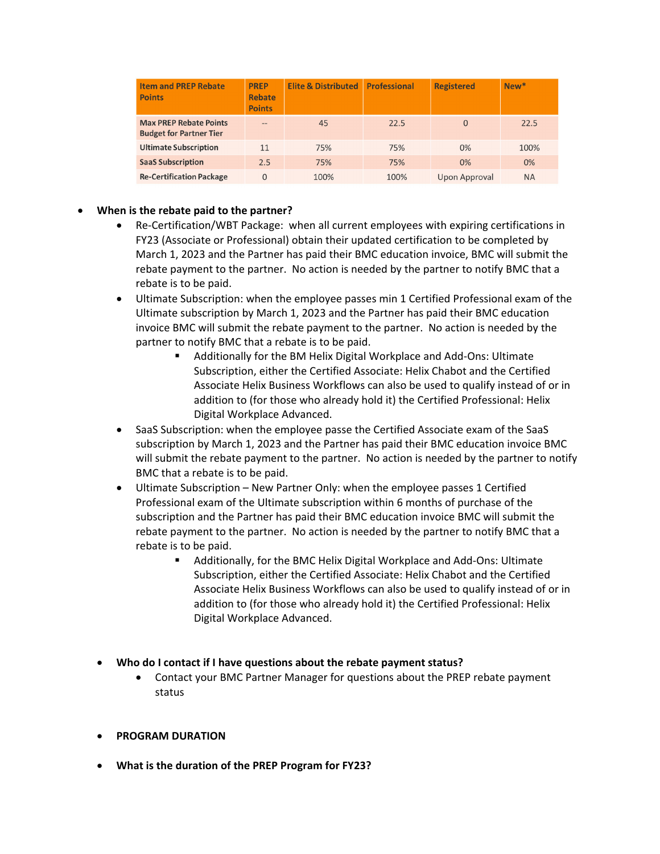| <b>Item and PREP Rebate</b><br><b>Points</b>                    | <b>PREP</b><br><b>Rebate</b><br><b>Points</b> | <b>Elite &amp; Distributed</b> | <b>Professional</b> | <b>Registered</b> | New*      |
|-----------------------------------------------------------------|-----------------------------------------------|--------------------------------|---------------------|-------------------|-----------|
| <b>Max PREP Rebate Points</b><br><b>Budget for Partner Tier</b> | $- -$                                         | 45                             | 22.5                | $\Omega$          | 22.5      |
| <b>Ultimate Subscription</b>                                    | 11                                            | 75%                            | 75%                 | 0%                | 100%      |
| <b>SaaS Subscription</b>                                        | 2.5                                           | 75%                            | 75%                 | 0%                | 0%        |
| <b>Re-Certification Package</b>                                 | 0                                             | 100%                           | 100%                | Upon Approval     | <b>NA</b> |

# **When is the rebate paid to the partner?**

- Re-Certification/WBT Package: when all current employees with expiring certifications in FY23 (Associate or Professional) obtain their updated certification to be completed by March 1, 2023 and the Partner has paid their BMC education invoice, BMC will submit the rebate payment to the partner. No action is needed by the partner to notify BMC that a rebate is to be paid.
- Ultimate Subscription: when the employee passes min 1 Certified Professional exam of the Ultimate subscription by March 1, 2023 and the Partner has paid their BMC education invoice BMC will submit the rebate payment to the partner. No action is needed by the partner to notify BMC that a rebate is to be paid.
	- Additionally for the BM Helix Digital Workplace and Add‐Ons: Ultimate Subscription, either the Certified Associate: Helix Chabot and the Certified Associate Helix Business Workflows can also be used to qualify instead of or in addition to (for those who already hold it) the Certified Professional: Helix Digital Workplace Advanced.
- SaaS Subscription: when the employee passe the Certified Associate exam of the SaaS subscription by March 1, 2023 and the Partner has paid their BMC education invoice BMC will submit the rebate payment to the partner. No action is needed by the partner to notify BMC that a rebate is to be paid.
- Ultimate Subscription New Partner Only: when the employee passes 1 Certified Professional exam of the Ultimate subscription within 6 months of purchase of the subscription and the Partner has paid their BMC education invoice BMC will submit the rebate payment to the partner. No action is needed by the partner to notify BMC that a rebate is to be paid.
	- Additionally, for the BMC Helix Digital Workplace and Add-Ons: Ultimate Subscription, either the Certified Associate: Helix Chabot and the Certified Associate Helix Business Workflows can also be used to qualify instead of or in addition to (for those who already hold it) the Certified Professional: Helix Digital Workplace Advanced.
- **Who do I contact if I have questions about the rebate payment status?**
	- Contact your BMC Partner Manager for questions about the PREP rebate payment status
- **PROGRAM DURATION**
- **What is the duration of the PREP Program for FY23?**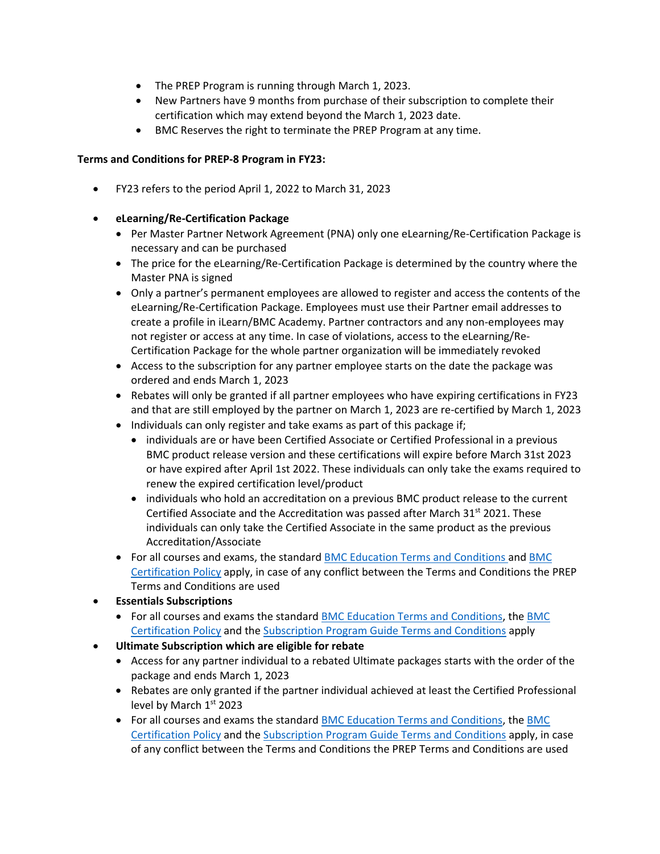- The PREP Program is running through March 1, 2023.
- New Partners have 9 months from purchase of their subscription to complete their certification which may extend beyond the March 1, 2023 date.
- BMC Reserves the right to terminate the PREP Program at any time.

#### **Terms and Conditions for PREP‐8 Program in FY23:**

FY23 refers to the period April 1, 2022 to March 31, 2023

#### **eLearning/Re‐Certification Package**

- Per Master Partner Network Agreement (PNA) only one eLearning/Re-Certification Package is necessary and can be purchased
- The price for the eLearning/Re-Certification Package is determined by the country where the Master PNA is signed
- Only a partner's permanent employees are allowed to register and access the contents of the eLearning/Re‐Certification Package. Employees must use their Partner email addresses to create a profile in iLearn/BMC Academy. Partner contractors and any non‐employees may not register or access at any time. In case of violations, access to the eLearning/Re‐ Certification Package for the whole partner organization will be immediately revoked
- Access to the subscription for any partner employee starts on the date the package was ordered and ends March 1, 2023
- Rebates will only be granted if all partner employees who have expiring certifications in FY23 and that are still employed by the partner on March 1, 2023 are re‐certified by March 1, 2023
- Individuals can only register and take exams as part of this package if;
	- individuals are or have been Certified Associate or Certified Professional in a previous BMC product release version and these certifications will expire before March 31st 2023 or have expired after April 1st 2022. These individuals can only take the exams required to renew the expired certification level/product
	- individuals who hold an accreditation on a previous BMC product release to the current Certified Associate and the Accreditation was passed after March  $31^{st}$  2021. These individuals can only take the Certified Associate in the same product as the previous Accreditation/Associate
- For all courses and exams, the standard BMC Education Terms and Conditions and BMC Certification Policy apply, in case of any conflict between the Terms and Conditions the PREP Terms and Conditions are used
- **Essentials Subscriptions**
	- For all courses and exams the standard BMC Education Terms and Conditions, the BMC Certification Policy and the Subscription Program Guide Terms and Conditions apply
- **Ultimate Subscription which are eligible for rebate**
	- Access for any partner individual to a rebated Ultimate packages starts with the order of the package and ends March 1, 2023
	- Rebates are only granted if the partner individual achieved at least the Certified Professional level by March 1st 2023
	- For all courses and exams the standard BMC Education Terms and Conditions, the BMC Certification Policy and the Subscription Program Guide Terms and Conditions apply, in case of any conflict between the Terms and Conditions the PREP Terms and Conditions are used